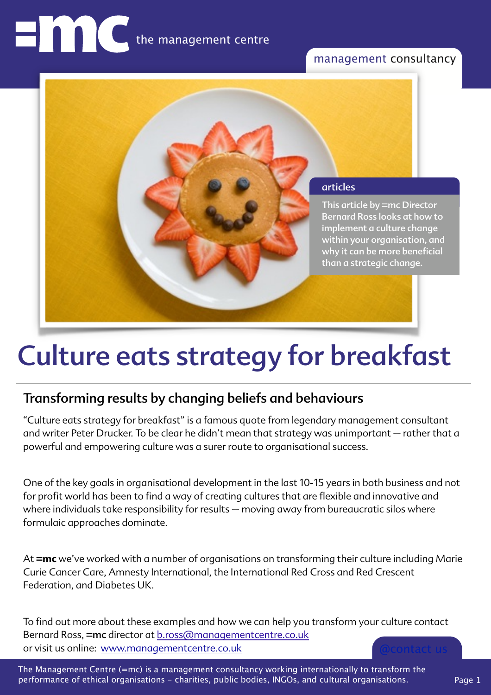# management consultancy



# Culture eats strategy for breakfast

# Transforming results by changing beliefs and behaviours

"Culture eats strategy for breakfast" is a famous quote from legendary management consultant and writer Peter Drucker. To be clear he didn't mean that strategy was unimportant – rather that a powerful and empowering culture was a surer route to organisational success.

One of the key goals in organisational development in the last 10-15 years in both business and not for profit world has been to find a way of creating cultures that are flexible and innovative and where individuals take responsibility for results – moving away from bureaucratic silos where formulaic approaches dominate.

At **=mc** we've worked with a number of organisations on transforming their culture including Marie Curie Cancer Care, Amnesty International, the International Red Cross and Red Crescent Federation, and Diabetes UK.

[@contact us](mailto:b.ross@managementcentre.co.uk?subject=) To find out more about these examples and how we can help you transform your culture contact Bernard Ross, =mc director at [b.ross@managementcentre.co.uk](mailto:b.ross@managementcentre.co.uk?subject=culture%20enquiry) or visit us online: [www.managementcentre.co.uk](http://www.managementcentre.co.uk)

The Management Centre (=mc) is a management consultancy working internationally to transform the performance of ethical organisations - charities, public bodies, INGOs, and cultural organisations.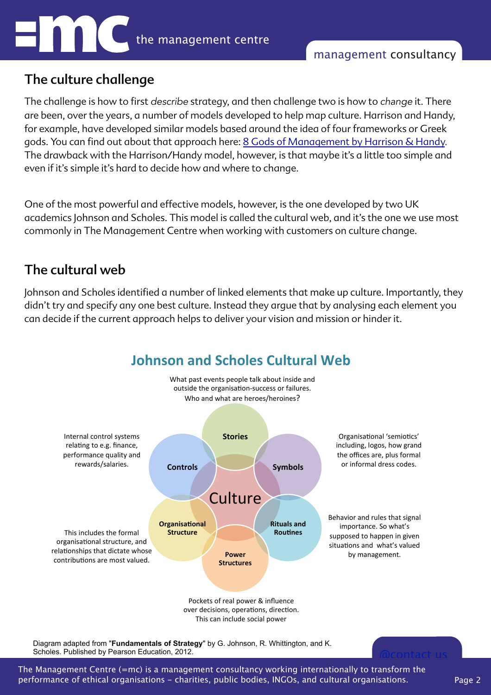# The culture challenge

The challenge is how to frst *describe* strategy, and then challenge two is how to *change* it. There are been, over the years, a number of models developed to help map culture. Harrison and Handy, for example, have developed similar models based around the idea of four frameworks or Greek gods. You can find out about that approach here: [8 Gods of Management by Harrison & Handy](http://www.provenmodels.com/8). The drawback with the Harrison/Handy model, however, is that maybe it's a little too simple and even if it's simple it's hard to decide how and where to change.

One of the most powerful and effective models, however, is the one developed by two UK academics Johnson and Scholes. This model is called the cultural web, and it's the one we use most commonly in The Management Centre when working with customers on culture change.

# The cultural web

Johnson and Scholes identifed a number of linked elements that make up culture. Importantly, they didn't try and specify any one best culture. Instead they argue that by analysing each element you can decide if the current approach helps to deliver your vision and mission or hinder it.



The Management Centre (=mc) is a management consultancy working internationally to transform the performance of ethical organisations - charities, public bodies, INGOs, and cultural organisations.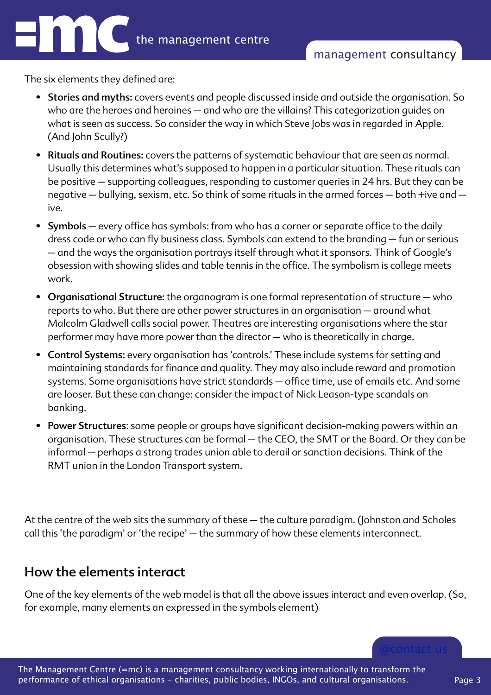The six elements they defined are:

Enn

- Stories and myths: covers events and people discussed inside and outside the organisation. So who are the heroes and heroines – and who are the villains? This categorization guides on what is seen as success. So consider the way in which Steve Jobs was in regarded in Apple. (And John Scully?)
- Rituals and Routines: covers the patterns of systematic behaviour that are seen as normal. Usually this determines what's supposed to happen in a particular situation. These rituals can be positive – supporting colleagues, responding to customer queries in 24 hrs. But they can be negative – bullying, sexism, etc. So think of some rituals in the armed forces – both +ive and – ive.
- Symbols every office has symbols: from who has a corner or separate office to the daily dress code or who can fly business class. Symbols can extend to the branding - fun or serious – and the ways the organisation portrays itself through what it sponsors. Think of Google's obsession with showing slides and table tennis in the office. The symbolism is college meets work.
- Organisational Structure: the organogram is one formal representation of structure who reports to who. But there are other power structures in an organisation – around what Malcolm Gladwell calls social power. Theatres are interesting organisations where the star performer may have more power than the director – who is theoretically in charge.
- Control Systems: every organisation has 'controls.' These include systems for setting and maintaining standards for finance and quality. They may also include reward and promotion systems. Some organisations have strict standards - office time, use of emails etc. And some are looser. But these can change: consider the impact of Nick Leason-type scandals on banking.
- Power Structures: some people or groups have significant decision-making powers within an organisation. These structures can be formal – the CEO, the SMT or the Board. Or they can be informal – perhaps a strong trades union able to derail or sanction decisions. Think of the RMT union in the London Transport system.

At the centre of the web sits the summary of these – the culture paradigm. (Johnston and Scholes call this 'the paradigm' or 'the recipe' – the summary of how these elements interconnect.

# How the elements interact

One of the key elements of the web model is that all the above issues interact and even overlap. (So, for example, many elements an expressed in the symbols element)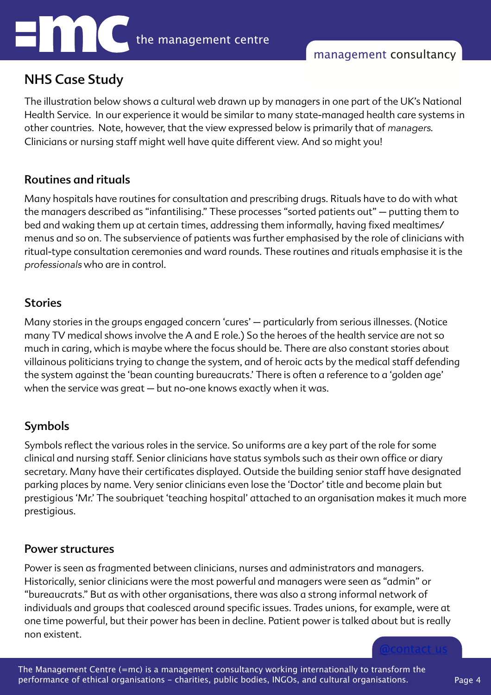# NHS Case Study

Enni

The illustration below shows a cultural web drawn up by managers in one part of the UK's National Health Service. In our experience it would be similar to many state-managed health care systems in other countries. Note, however, that the view expressed below is primarily that of *managers*. Clinicians or nursing staff might well have quite different view. And so might you!

## Routines and rituals

Many hospitals have routines for consultation and prescribing drugs. Rituals have to do with what the managers described as "infantilising." These processes "sorted patients out" – putting them to bed and waking them up at certain times, addressing them informally, having fixed mealtimes/ menus and so on. The subservience of patients was further emphasised by the role of clinicians with ritual-type consultation ceremonies and ward rounds. These routines and rituals emphasise it is the *professionals* who are in control.

#### **Stories**

Many stories in the groups engaged concern 'cures' – particularly from serious illnesses. (Notice many TV medical shows involve the A and E role.) So the heroes of the health service are not so much in caring, which is maybe where the focus should be. There are also constant stories about villainous politicians trying to change the system, and of heroic acts by the medical staff defending the system against the 'bean counting bureaucrats.' There is often a reference to a 'golden age' when the service was great – but no-one knows exactly when it was.

# Symbols

Symbols refect the various roles in the service. So uniforms are a key part of the role for some clinical and nursing staff. Senior clinicians have status symbols such as their own office or diary secretary. Many have their certificates displayed. Outside the building senior staff have designated parking places by name. Very senior clinicians even lose the 'Doctor' title and become plain but prestigious 'Mr.' The soubriquet 'teaching hospital' attached to an organisation makes it much more prestigious.

#### Power structures

Power is seen as fragmented between clinicians, nurses and administrators and managers. Historically, senior clinicians were the most powerful and managers were seen as "admin" or "bureaucrats." But as with other organisations, there was also a strong informal network of individuals and groups that coalesced around specific issues. Trades unions, for example, were at one time powerful, but their power has been in decline. Patient power is talked about but is really non existent.

The Management Centre (=mc) is a management consultancy working internationally to transform the performance of ethical organisations - charities, public bodies, INGOs, and cultural organisations.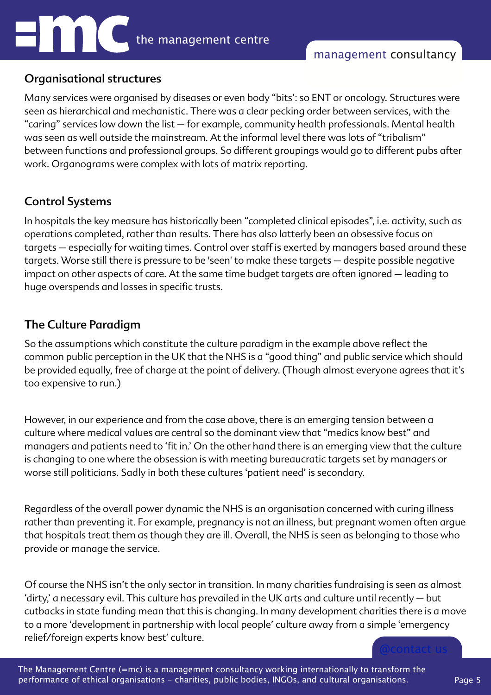# Organisational structures

Many services were organised by diseases or even body "bits': so ENT or oncology. Structures were seen as hierarchical and mechanistic. There was a clear pecking order between services, with the "caring" services low down the list – for example, community health professionals. Mental health was seen as well outside the mainstream. At the informal level there was lots of "tribalism" between functions and professional groups. So different groupings would go to different pubs after work. Organograms were complex with lots of matrix reporting.

# Control Systems

**HOOO** 

In hospitals the key measure has historically been "completed clinical episodes", i.e. activity, such as operations completed, rather than results. There has also latterly been an obsessive focus on targets – especially for waiting times. Control over staff is exerted by managers based around these targets. Worse still there is pressure to be 'seen' to make these targets – despite possible negative impact on other aspects of care. At the same time budget targets are often ignored – leading to huge overspends and losses in specific trusts.

# The Culture Paradigm

So the assumptions which constitute the culture paradigm in the example above refect the common public perception in the UK that the NHS is a "good thing" and public service which should be provided equally, free of charge at the point of delivery. (Though almost everyone agrees that it's too expensive to run.)

However, in our experience and from the case above, there is an emerging tension between a culture where medical values are central so the dominant view that "medics know best" and managers and patients need to 'fit in.' On the other hand there is an emerging view that the culture is changing to one where the obsession is with meeting bureaucratic targets set by managers or worse still politicians. Sadly in both these cultures 'patient need' is secondary.

Regardless of the overall power dynamic the NHS is an organisation concerned with curing illness rather than preventing it. For example, pregnancy is not an illness, but pregnant women often argue that hospitals treat them as though they are ill. Overall, the NHS is seen as belonging to those who provide or manage the service.

Of course the NHS isn't the only sector in transition. In many charities fundraising is seen as almost 'dirty,' a necessary evil. This culture has prevailed in the UK arts and culture until recently – but cutbacks in state funding mean that this is changing. In many development charities there is a move to a more 'development in partnership with local people' culture away from a simple 'emergency relief/foreign experts know best' culture.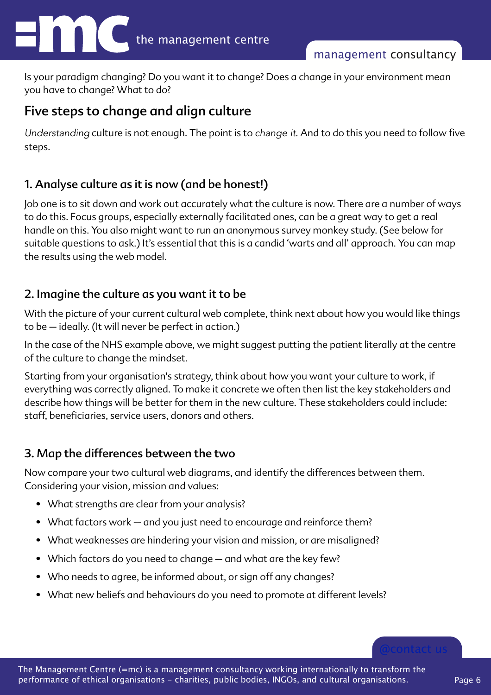Is your paradigm changing? Do you want it to change? Does a change in your environment mean you have to change? What to do?

# Five steps to change and align culture

*Understanding* culture is not enough. The point is to *change it*. And to do this you need to follow fve steps.

# 1. Analyse culture as it is now (and be honest!)

Job one is to sit down and work out accurately what the culture is now. There are a number of ways to do this. Focus groups, especially externally facilitated ones, can be a great way to get a real handle on this. You also might want to run an anonymous survey monkey study. (See below for suitable questions to ask.) It's essential that this is a candid 'warts and all' approach. You can map the results using the web model.

# 2. Imagine the culture as you want it to be

With the picture of your current cultural web complete, think next about how you would like things to be – ideally. (It will never be perfect in action.)

In the case of the NHS example above, we might suggest putting the patient literally at the centre of the culture to change the mindset.

Starting from your organisation's strategy, think about how you want your culture to work, if everything was correctly aligned. To make it concrete we often then list the key stakeholders and describe how things will be better for them in the new culture. These stakeholders could include: staff, beneficiaries, service users, donors and others.

# 3. Map the differences between the two

Now compare your two cultural web diagrams, and identify the differences between them. Considering your vision, mission and values:

- What strengths are clear from your analysis?
- What factors work and you just need to encourage and reinforce them?
- What weaknesses are hindering your vision and mission, or are misaligned?
- Which factors do you need to change and what are the key few?
- Who needs to agree, be informed about, or sign off any changes?
- What new beliefs and behaviours do you need to promote at different levels?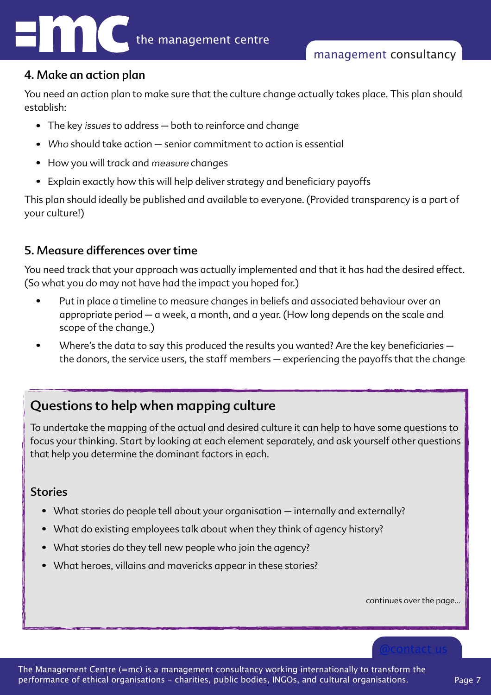#### 4. Make an action plan

You need an action plan to make sure that the culture change actually takes place. This plan should establish:

- The key *issues* to address both to reinforce and change
- *Who* should take action senior commitment to action is essential
- How you will track and *measure* changes
- Explain exactly how this will help deliver strategy and beneficiary payoffs

This plan should ideally be published and available to everyone. (Provided transparency is a part of your culture!)

# 5. Measure differences over time

You need track that your approach was actually implemented and that it has had the desired effect. (So what you do may not have had the impact you hoped for.)

- Put in place a timeline to measure changes in beliefs and associated behaviour over an appropriate period – a week, a month, and a year. (How long depends on the scale and scope of the change.)
- Where's the data to say this produced the results you wanted? Are the key beneficiaries  $$ the donors, the service users, the staff members – experiencing the payoffs that the change

# Questions to help when mapping culture

To undertake the mapping of the actual and desired culture it can help to have some questions to focus your thinking. Start by looking at each element separately, and ask yourself other questions that help you determine the dominant factors in each.

# Stories

- What stories do people tell about your organisation internally and externally?
- What do existing employees talk about when they think of agency history?
- What stories do they tell new people who join the agency?
- What heroes, villains and mavericks appear in these stories?

continues over the page…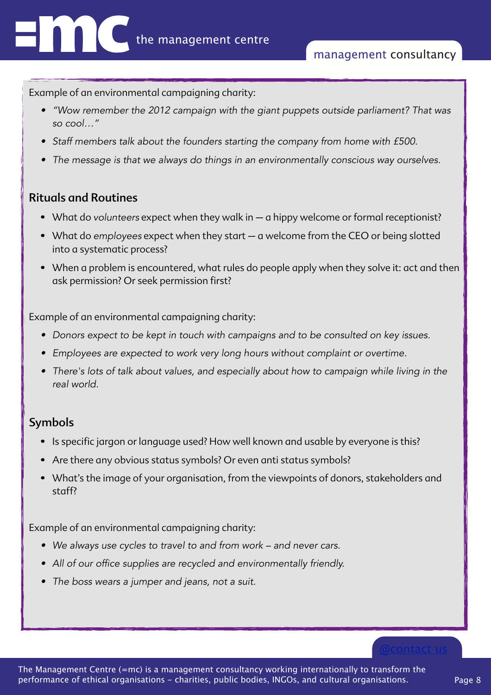Example of an environmental campaigning charity:

- *• "Wow remember the 2012 campaign with the giant puppets outside parliament? That was so cool…"*
- *• Staff members talk about the founders starting the company from home with £500.*
- *• The message is that we always do things in an environmentally conscious way ourselves.*

#### Rituals and Routines

- What do *volunteers* expect when they walk in a hippy welcome or formal receptionist?
- What do *employees* expect when they start a welcome from the CEO or being slotted into a systematic process?
- When a problem is encountered, what rules do people apply when they solve it: act and then ask permission? Or seek permission first?

Example of an environmental campaigning charity:

- *• Donors expect to be kept in touch with campaigns and to be consulted on key issues.*
- *• Employees are expected to work very long hours without complaint or overtime.*
- *• There's lots of talk about values, and especially about how to campaign while living in the real world.*

# Symbols

- Is specific jargon or language used? How well known and usable by everyone is this?
- Are there any obvious status symbols? Or even anti status symbols?
- What's the image of your organisation, from the viewpoints of donors, stakeholders and staff?

Example of an environmental campaigning charity:

- *• We always use cycles to travel to and from work and never cars.*
- *• All of our office supplies are recycled and environmentally friendly.*
- *• The boss wears a jumper and jeans, not a suit.*